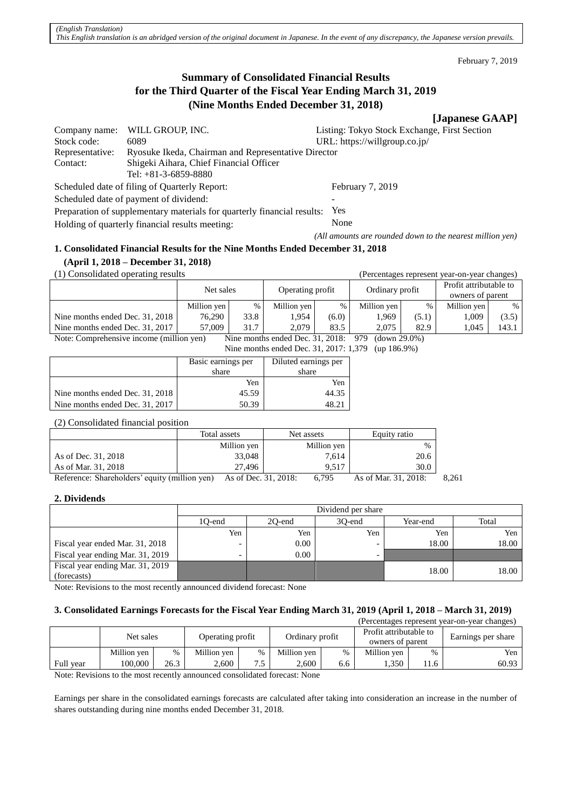February 7, 2019

# **Summary of Consolidated Financial Results for the Third Quarter of the Fiscal Year Ending March 31, 2019 (Nine Months Ended December 31, 2018)**

# **[Japanese GAAP]**

| Company name:                                                           | WILL GROUP, INC.                                                  | Listing: Tokyo Stock Exchange, First Section              |
|-------------------------------------------------------------------------|-------------------------------------------------------------------|-----------------------------------------------------------|
| Stock code:                                                             | 6089                                                              | URL: https://willgroup.co.jp/                             |
| Representative:                                                         | Ryosuke Ikeda, Chairman and Representative Director               |                                                           |
| Contact:                                                                | Shigeki Aihara, Chief Financial Officer<br>Tel: $+81-3-6859-8880$ |                                                           |
| Scheduled date of filing of Quarterly Report:                           |                                                                   | February 7, 2019                                          |
|                                                                         | Scheduled date of payment of dividend:                            |                                                           |
| Preparation of supplementary materials for quarterly financial results: |                                                                   | Yes                                                       |
| Holding of quarterly financial results meeting:                         |                                                                   | None                                                      |
|                                                                         |                                                                   | (All amounts are rounded down to the nearest million yen) |

# **1. Consolidated Financial Results for the Nine Months Ended December 31, 2018**

# **(April 1, 2018 – December 31, 2018)**

(1) Consolidated operating results (Percentages represent year-on-year changes)

|                                          | Operating profit<br>Net sales |      | Ordinary profit                  |       | Profit attributable to<br>owners of parent |       |             |       |
|------------------------------------------|-------------------------------|------|----------------------------------|-------|--------------------------------------------|-------|-------------|-------|
|                                          | Million yen                   | %    | Million yen                      | %     | Million yen                                | %     | Million yen | %     |
| Nine months ended Dec. 31, 2018          | 76.290                        | 33.8 | 1.954                            | (6.0) | 1.969                                      | (5.1) | 1.009       | (3.5) |
| Nine months ended Dec. 31, 2017          | 57.009                        | 31.7 | 2.079                            | 83.5  | 2.075                                      | 82.9  | 1.045       | 143.1 |
| Note: Comprehensive income (million yen) |                               |      | Nine months ended Dec. 31, 2018: |       | $(down 29.0\%)$<br>-979                    |       |             |       |

Nine months ended Dec. 31, 2017: 1,379 (up 186.9%)

|                                 | Basic earnings per<br>share | Diluted earnings per<br>share |
|---------------------------------|-----------------------------|-------------------------------|
|                                 | Yen                         | Yen                           |
| Nine months ended Dec. 31, 2018 | 45.59                       | 44.35                         |
| Nine months ended Dec. 31, 2017 | 50.39                       | 48.2.                         |

(2) Consolidated financial position

|                                               | Total assets         | Net assets  | Equity ratio         |       |
|-----------------------------------------------|----------------------|-------------|----------------------|-------|
|                                               | Million yen          | Million yen | $\%$                 |       |
| As of Dec. 31, 2018                           | 33,048               | 7.614       | 20.6                 |       |
| As of Mar. 31, 2018                           | 27.496               | 9.517       | 30.0                 |       |
| Reference: Shareholders' equity (million yen) | As of Dec. 31, 2018: | 6.795       | As of Mar. 31, 2018: | 8.261 |

#### **2. Dividends**

|                                  | Dividend per share |                                       |     |       |       |  |  |  |
|----------------------------------|--------------------|---------------------------------------|-----|-------|-------|--|--|--|
|                                  | 1O-end             | Total<br>30-end<br>20-end<br>Year-end |     |       |       |  |  |  |
|                                  | Yen                | Yen                                   | Yen | Yen   | Yen   |  |  |  |
| Fiscal year ended Mar. 31, 2018  | -                  | $0.00\,$                              |     | 18.00 | 18.00 |  |  |  |
| Fiscal year ending Mar. 31, 2019 | -                  | 0.00                                  |     |       |       |  |  |  |
| Fiscal year ending Mar. 31, 2019 |                    |                                       |     | 18.00 | 18.00 |  |  |  |
| (forecasts)                      |                    |                                       |     |       |       |  |  |  |

Note: Revisions to the most recently announced dividend forecast: None

# **3. Consolidated Earnings Forecasts for the Fiscal Year Ending March 31, 2019 (April 1, 2018 – March 31, 2019)**

| (Percentages represent year-on-year changes) |             |      |             |                                     |             |                                            |             |      |                    |
|----------------------------------------------|-------------|------|-------------|-------------------------------------|-------------|--------------------------------------------|-------------|------|--------------------|
|                                              | Net sales   |      |             | Ordinary profit<br>Operating profit |             | Profit attributable to<br>owners of parent |             |      | Earnings per share |
|                                              | Million yen | %    | Million ven | $\%$                                | Million ven | $\%$                                       | Million ven | $\%$ | Yen                |
| Full year                                    | 100.000     | 26.3 | 2.600       | ر.,                                 | 2.600       | 6.6                                        | . 350       | 11.6 | 60.93              |

Note: Revisions to the most recently announced consolidated forecast: None

Earnings per share in the consolidated earnings forecasts are calculated after taking into consideration an increase in the number of shares outstanding during nine months ended December 31, 2018.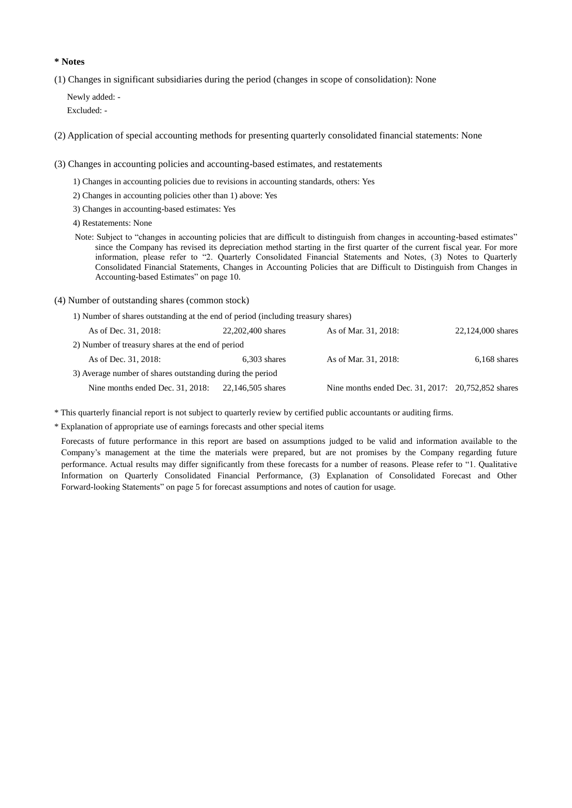#### **\* Notes**

(1) Changes in significant subsidiaries during the period (changes in scope of consolidation): None

Newly added: - Excluded: -

(2) Application of special accounting methods for presenting quarterly consolidated financial statements: None

(3) Changes in accounting policies and accounting-based estimates, and restatements

- 1) Changes in accounting policies due to revisions in accounting standards, others: Yes
- 2) Changes in accounting policies other than 1) above: Yes
- 3) Changes in accounting-based estimates: Yes
- 4) Restatements: None
- Note: Subject to "changes in accounting policies that are difficult to distinguish from changes in accounting-based estimates" since the Company has revised its depreciation method starting in the first quarter of the current fiscal year. For more information, please refer to "2. Quarterly Consolidated Financial Statements and Notes, (3) Notes to Quarterly Consolidated Financial Statements, Changes in Accounting Policies that are Difficult to Distinguish from Changes in Accounting-based Estimates" on page 10.
- (4) Number of outstanding shares (common stock)
	- 1) Number of shares outstanding at the end of period (including treasury shares)

| As of Dec. 31, 2018:                                      | 22,202,400 shares | As of Mar. 31, 2018:                               | 22,124,000 shares |
|-----------------------------------------------------------|-------------------|----------------------------------------------------|-------------------|
| 2) Number of treasury shares at the end of period         |                   |                                                    |                   |
| As of Dec. 31, 2018:                                      | $6,303$ shares    | As of Mar. 31, 2018:                               | $6,168$ shares    |
| 3) Average number of shares outstanding during the period |                   |                                                    |                   |
| Nine months ended Dec. 31, 2018:                          | 22,146,505 shares | Nine months ended Dec. 31, 2017: 20,752,852 shares |                   |

\* This quarterly financial report is not subject to quarterly review by certified public accountants or auditing firms.

\* Explanation of appropriate use of earnings forecasts and other special items

Forecasts of future performance in this report are based on assumptions judged to be valid and information available to the Company's management at the time the materials were prepared, but are not promises by the Company regarding future performance. Actual results may differ significantly from these forecasts for a number of reasons. Please refer to "1. Qualitative Information on Quarterly Consolidated Financial Performance, (3) Explanation of Consolidated Forecast and Other Forward-looking Statements" on page 5 for forecast assumptions and notes of caution for usage.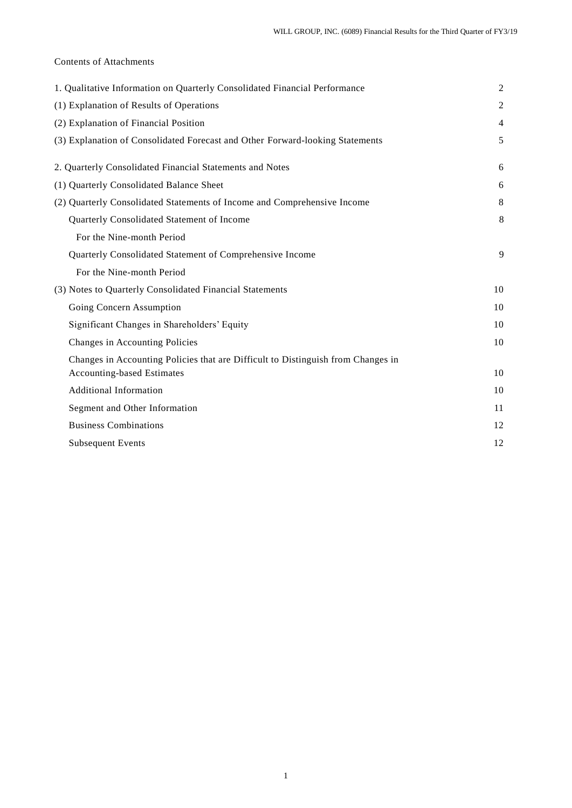# Contents of Attachments

| 1. Qualitative Information on Quarterly Consolidated Financial Performance       | $\mathfrak{2}$ |
|----------------------------------------------------------------------------------|----------------|
| (1) Explanation of Results of Operations                                         | $\overline{2}$ |
| (2) Explanation of Financial Position                                            | $\overline{4}$ |
| (3) Explanation of Consolidated Forecast and Other Forward-looking Statements    | 5              |
| 2. Quarterly Consolidated Financial Statements and Notes                         | 6              |
| (1) Quarterly Consolidated Balance Sheet                                         | 6              |
| (2) Quarterly Consolidated Statements of Income and Comprehensive Income         | 8              |
| Quarterly Consolidated Statement of Income                                       | 8              |
| For the Nine-month Period                                                        |                |
| Quarterly Consolidated Statement of Comprehensive Income                         | 9              |
| For the Nine-month Period                                                        |                |
| (3) Notes to Quarterly Consolidated Financial Statements                         | 10             |
| Going Concern Assumption                                                         | 10             |
| Significant Changes in Shareholders' Equity                                      | 10             |
| Changes in Accounting Policies                                                   | 10             |
| Changes in Accounting Policies that are Difficult to Distinguish from Changes in |                |
| <b>Accounting-based Estimates</b>                                                | 10             |
| <b>Additional Information</b>                                                    | 10             |
| Segment and Other Information                                                    | 11             |
| <b>Business Combinations</b>                                                     | 12             |
| <b>Subsequent Events</b>                                                         | 12             |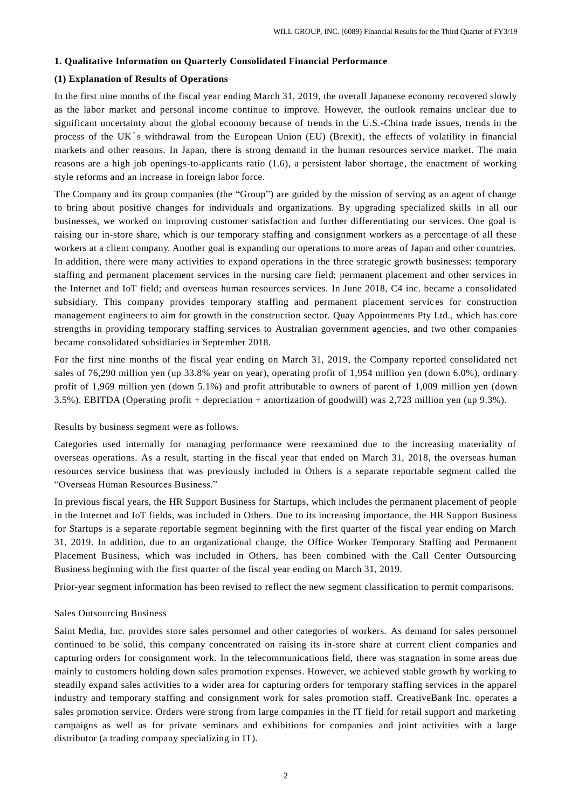#### **1. Qualitative Information on Quarterly Consolidated Financial Performance**

# **(1) Explanation of Results of Operations**

In the first nine months of the fiscal year ending March 31, 2019, the overall Japanese economy recovered slowly as the labor market and personal income continue to improve. However, the outlook remains unclear due to significant uncertainty about the global economy because of trends in the U.S.-China trade issues, trends in the process of the UK's withdrawal from the European Union (EU) (Brexit), the effects of volatility in financial markets and other reasons. In Japan, there is strong demand in the human resources service market. The main reasons are a high job openings-to-applicants ratio (1.6), a persistent labor shortage, the enactment of working style reforms and an increase in foreign labor force.

The Company and its group companies (the "Group") are guided by the mission of serving as an agent of change to bring about positive changes for individuals and organizations. By upgrading specialized skills in all our businesses, we worked on improving customer satisfaction and further differentiating our services. One goal is raising our in-store share, which is our temporary staffing and consignment workers as a percentage of all these workers at a client company. Another goal is expanding our operations to more areas of Japan and other countries. In addition, there were many activities to expand operations in the three strategic growth businesses: temporary staffing and permanent placement services in the nursing care field; permanent placement and other services in the Internet and IoT field; and overseas human resources services. In June 2018, C4 inc. became a consolidated subsidiary. This company provides temporary staffing and permanent placement services for construction management engineers to aim for growth in the construction sector. Quay Appointments Pty Ltd., which has core strengths in providing temporary staffing services to Australian government agencies, and two other companies became consolidated subsidiaries in September 2018.

For the first nine months of the fiscal year ending on March 31, 2019, the Company reported consolidated net sales of 76,290 million yen (up 33.8% year on year), operating profit of 1,954 million yen (down 6.0%), ordinary profit of 1,969 million yen (down 5.1%) and profit attributable to owners of parent of 1,009 million yen (down 3.5%). EBITDA (Operating profit + depreciation + amortization of goodwill) was 2,723 million yen (up 9.3%).

#### Results by business segment were as follows.

Categories used internally for managing performance were reexamined due to the increasing materiality of overseas operations. As a result, starting in the fiscal year that ended on March 31, 2018, the overseas human resources service business that was previously included in Others is a separate reportable segment called the "Overseas Human Resources Business."

In previous fiscal years, the HR Support Business for Startups, which includes the permanent placement of people in the Internet and IoT fields, was included in Others. Due to its increasing importance, the HR Support Business for Startups is a separate reportable segment beginning with the first quarter of the fiscal year ending on March 31, 2019. In addition, due to an organizational change, the Office Worker Temporary Staffing and Permanent Placement Business, which was included in Others, has been combined with the Call Center Outsourcing Business beginning with the first quarter of the fiscal year ending on March 31, 2019.

Prior-year segment information has been revised to reflect the new segment classification to permit comparisons.

#### Sales Outsourcing Business

Saint Media, Inc. provides store sales personnel and other categories of workers. As demand for sales personnel continued to be solid, this company concentrated on raising its in-store share at current client companies and capturing orders for consignment work. In the telecommunications field, there was stagnation in some areas due mainly to customers holding down sales promotion expenses. However, we achieved stable growth by working to steadily expand sales activities to a wider area for capturing orders for temporary staffing services in the apparel industry and temporary staffing and consignment work for sales promotion staff. CreativeBank Inc. operates a sales promotion service. Orders were strong from large companies in the IT field for retail support and marketing campaigns as well as for private seminars and exhibitions for companies and joint activities with a large distributor (a trading company specializing in IT).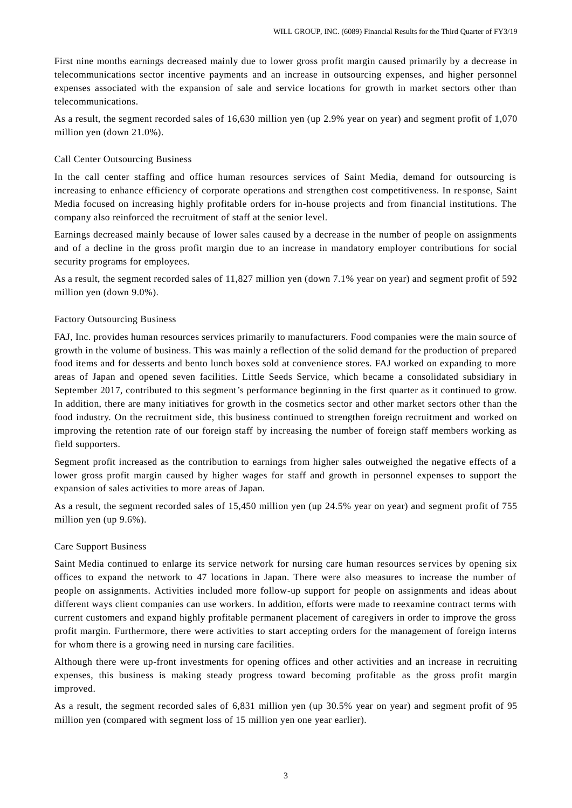First nine months earnings decreased mainly due to lower gross profit margin caused primarily by a decrease in telecommunications sector incentive payments and an increase in outsourcing expenses, and higher personnel expenses associated with the expansion of sale and service locations for growth in market sectors other than telecommunications.

As a result, the segment recorded sales of 16,630 million yen (up 2.9% year on year) and segment profit of 1,070 million yen (down 21.0%).

# Call Center Outsourcing Business

In the call center staffing and office human resources services of Saint Media, demand for outsourcing is increasing to enhance efficiency of corporate operations and strengthen cost competitiveness. In re sponse, Saint Media focused on increasing highly profitable orders for in-house projects and from financial institutions. The company also reinforced the recruitment of staff at the senior level.

Earnings decreased mainly because of lower sales caused by a decrease in the number of people on assignments and of a decline in the gross profit margin due to an increase in mandatory employer contributions for social security programs for employees.

As a result, the segment recorded sales of 11,827 million yen (down 7.1% year on year) and segment profit of 592 million yen (down 9.0%).

#### Factory Outsourcing Business

FAJ, Inc. provides human resources services primarily to manufacturers. Food companies were the main source of growth in the volume of business. This was mainly a reflection of the solid demand for the production of prepared food items and for desserts and bento lunch boxes sold at convenience stores. FAJ worked on expanding to more areas of Japan and opened seven facilities. Little Seeds Service, which became a consolidated subsidiary in September 2017, contributed to this segment's performance beginning in the first quarter as it continued to grow. In addition, there are many initiatives for growth in the cosmetics sector and other market sectors other than the food industry. On the recruitment side, this business continued to strengthen foreign recruitment and worked on improving the retention rate of our foreign staff by increasing the number of foreign staff members working as field supporters.

Segment profit increased as the contribution to earnings from higher sales outweighed the negative effects of a lower gross profit margin caused by higher wages for staff and growth in personnel expenses to support the expansion of sales activities to more areas of Japan.

As a result, the segment recorded sales of 15,450 million yen (up 24.5% year on year) and segment profit of 755 million yen (up 9.6%).

#### Care Support Business

Saint Media continued to enlarge its service network for nursing care human resources se rvices by opening six offices to expand the network to 47 locations in Japan. There were also measures to increase the number of people on assignments. Activities included more follow-up support for people on assignments and ideas about different ways client companies can use workers. In addition, efforts were made to reexamine contract terms with current customers and expand highly profitable permanent placement of caregivers in order to improve the gross profit margin. Furthermore, there were activities to start accepting orders for the management of foreign interns for whom there is a growing need in nursing care facilities.

Although there were up-front investments for opening offices and other activities and an increase in recruiting expenses, this business is making steady progress toward becoming profitable as the gross profit margin improved.

As a result, the segment recorded sales of 6,831 million yen (up 30.5% year on year) and segment profit of 95 million yen (compared with segment loss of 15 million yen one year earlier).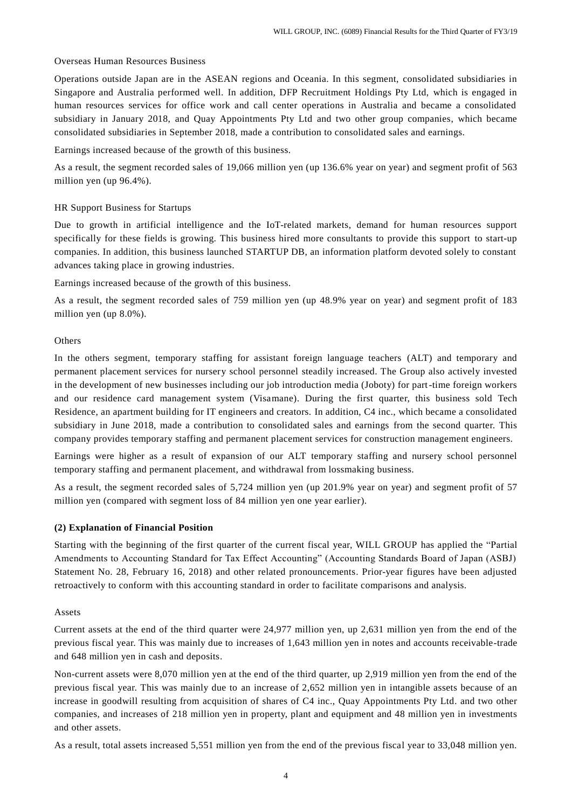#### Overseas Human Resources Business

Operations outside Japan are in the ASEAN regions and Oceania. In this segment, consolidated subsidiaries in Singapore and Australia performed well. In addition, DFP Recruitment Holdings Pty Ltd, which is engaged in human resources services for office work and call center operations in Australia and became a consolidated subsidiary in January 2018, and Quay Appointments Pty Ltd and two other group companies, which became consolidated subsidiaries in September 2018, made a contribution to consolidated sales and earnings.

Earnings increased because of the growth of this business.

As a result, the segment recorded sales of 19,066 million yen (up 136.6% year on year) and segment profit of 563 million yen (up 96.4%).

# HR Support Business for Startups

Due to growth in artificial intelligence and the IoT-related markets, demand for human resources support specifically for these fields is growing. This business hired more consultants to provide this support to start-up companies. In addition, this business launched STARTUP DB, an information platform devoted solely to constant advances taking place in growing industries.

Earnings increased because of the growth of this business.

As a result, the segment recorded sales of 759 million yen (up 48.9% year on year) and segment profit of 183 million yen (up 8.0%).

#### **Others**

In the others segment, temporary staffing for assistant foreign language teachers (ALT) and temporary and permanent placement services for nursery school personnel steadily increased. The Group also actively invested in the development of new businesses including our job introduction media (Joboty) for part-time foreign workers and our residence card management system (Visamane). During the first quarter, this business sold Tech Residence, an apartment building for IT engineers and creators. In addition, C4 inc., which became a consolidated subsidiary in June 2018, made a contribution to consolidated sales and earnings from the second quarter. This company provides temporary staffing and permanent placement services for construction management engineers.

Earnings were higher as a result of expansion of our ALT temporary staffing and nursery school personnel temporary staffing and permanent placement, and withdrawal from lossmaking business.

As a result, the segment recorded sales of 5,724 million yen (up 201.9% year on year) and segment profit of 57 million yen (compared with segment loss of 84 million yen one year earlier).

#### **(2) Explanation of Financial Position**

Starting with the beginning of the first quarter of the current fiscal year, WILL GROUP has applied the "Partial Amendments to Accounting Standard for Tax Effect Accounting" (Accounting Standards Board of Japan (ASBJ) Statement No. 28, February 16, 2018) and other related pronouncements. Prior-year figures have been adjusted retroactively to conform with this accounting standard in order to facilitate comparisons and analysis.

#### Assets

Current assets at the end of the third quarter were 24,977 million yen, up 2,631 million yen from the end of the previous fiscal year. This was mainly due to increases of 1,643 million yen in notes and accounts receivable-trade and 648 million yen in cash and deposits.

Non-current assets were 8,070 million yen at the end of the third quarter, up 2,919 million yen from the end of the previous fiscal year. This was mainly due to an increase of 2,652 million yen in intangible assets because of an increase in goodwill resulting from acquisition of shares of C4 inc., Quay Appointments Pty Ltd. and two other companies, and increases of 218 million yen in property, plant and equipment and 48 million yen in investments and other assets.

As a result, total assets increased 5,551 million yen from the end of the previous fiscal year to 33,048 million yen.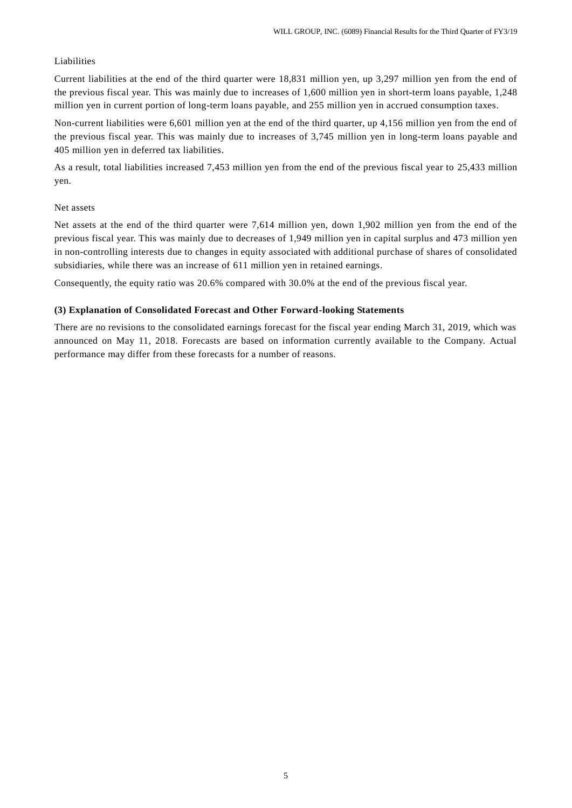### Liabilities

Current liabilities at the end of the third quarter were 18,831 million yen, up 3,297 million yen from the end of the previous fiscal year. This was mainly due to increases of 1,600 million yen in short-term loans payable, 1,248 million yen in current portion of long-term loans payable, and 255 million yen in accrued consumption taxes.

Non-current liabilities were 6,601 million yen at the end of the third quarter, up 4,156 million yen from the end of the previous fiscal year. This was mainly due to increases of 3,745 million yen in long-term loans payable and 405 million yen in deferred tax liabilities.

As a result, total liabilities increased 7,453 million yen from the end of the previous fiscal year to 25,433 million yen.

#### Net assets

Net assets at the end of the third quarter were 7,614 million yen, down 1,902 million yen from the end of the previous fiscal year. This was mainly due to decreases of 1,949 million yen in capital surplus and 473 million yen in non-controlling interests due to changes in equity associated with additional purchase of shares of consolidated subsidiaries, while there was an increase of 611 million yen in retained earnings.

Consequently, the equity ratio was 20.6% compared with 30.0% at the end of the previous fiscal year.

### **(3) Explanation of Consolidated Forecast and Other Forward-looking Statements**

There are no revisions to the consolidated earnings forecast for the fiscal year ending March 31, 2019, which was announced on May 11, 2018. Forecasts are based on information currently available to the Company. Actual performance may differ from these forecasts for a number of reasons.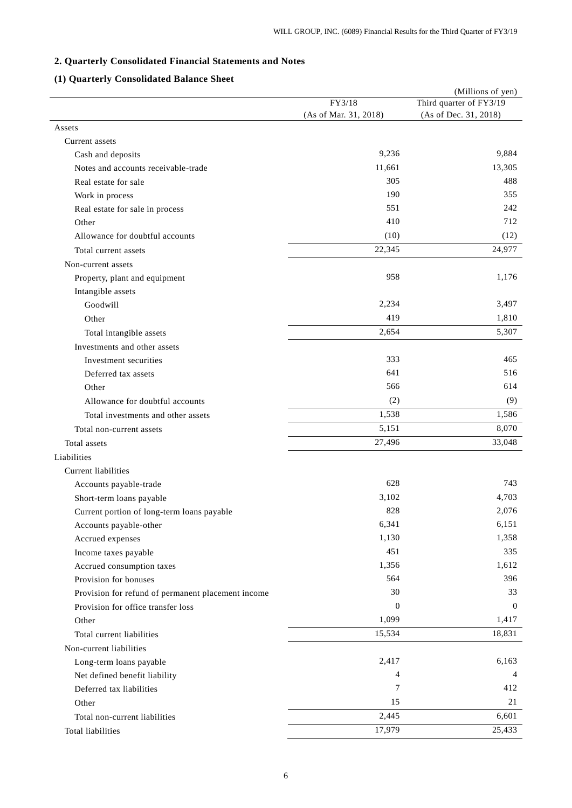# **2. Quarterly Consolidated Financial Statements and Notes**

# **(1) Quarterly Consolidated Balance Sheet**

|                                                    |                       | (Millions of yen)       |
|----------------------------------------------------|-----------------------|-------------------------|
|                                                    | FY3/18                | Third quarter of FY3/19 |
|                                                    | (As of Mar. 31, 2018) | (As of Dec. 31, 2018)   |
| Assets                                             |                       |                         |
| Current assets                                     |                       |                         |
| Cash and deposits                                  | 9,236                 | 9,884                   |
| Notes and accounts receivable-trade                | 11,661                | 13,305                  |
| Real estate for sale                               | 305                   | 488                     |
| Work in process                                    | 190                   | 355                     |
| Real estate for sale in process                    | 551                   | 242                     |
| Other                                              | 410                   | 712                     |
| Allowance for doubtful accounts                    | (10)                  | (12)                    |
| Total current assets                               | 22,345                | 24,977                  |
| Non-current assets                                 |                       |                         |
| Property, plant and equipment                      | 958                   | 1,176                   |
| Intangible assets                                  |                       |                         |
| Goodwill                                           | 2,234                 | 3,497                   |
| Other                                              | 419                   | 1,810                   |
| Total intangible assets                            | 2,654                 | 5,307                   |
| Investments and other assets                       |                       |                         |
| Investment securities                              | 333                   | 465                     |
| Deferred tax assets                                | 641                   | 516                     |
| Other                                              | 566                   | 614                     |
| Allowance for doubtful accounts                    | (2)                   | (9)                     |
| Total investments and other assets                 | 1,538                 | 1,586                   |
| Total non-current assets                           | 5,151                 | 8,070                   |
| Total assets                                       | 27,496                | 33,048                  |
| Liabilities                                        |                       |                         |
| <b>Current liabilities</b>                         |                       |                         |
| Accounts payable-trade                             | 628                   | 743                     |
| Short-term loans payable                           | 3,102                 | 4,703                   |
| Current portion of long-term loans payable         | 828                   | 2,076                   |
| Accounts payable-other                             | 6,341                 | 6,151                   |
| Accrued expenses                                   | 1,130                 | 1,358                   |
| Income taxes payable                               | 451                   | 335                     |
| Accrued consumption taxes                          | 1,356                 | 1,612                   |
| Provision for bonuses                              | 564                   | 396                     |
| Provision for refund of permanent placement income | 30                    | 33                      |
| Provision for office transfer loss                 | $\theta$              | $\overline{0}$          |
| Other                                              | 1,099                 | 1,417                   |
| Total current liabilities                          | 15,534                | 18,831                  |
| Non-current liabilities                            |                       |                         |
| Long-term loans payable                            | 2,417                 | 6,163                   |
| Net defined benefit liability                      | 4                     | 4                       |
| Deferred tax liabilities                           | 7                     | 412                     |
| Other                                              | 15                    | 21                      |
| Total non-current liabilities                      | 2,445                 | 6,601                   |
| Total liabilities                                  | 17,979                | 25,433                  |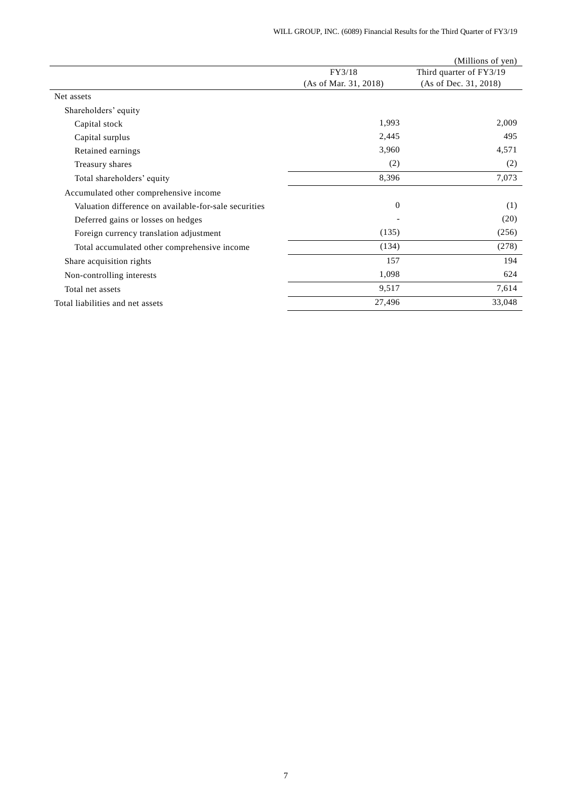|                                                       |                       | (Millions of yen)       |
|-------------------------------------------------------|-----------------------|-------------------------|
|                                                       | FY3/18                | Third quarter of FY3/19 |
|                                                       | (As of Mar. 31, 2018) | (As of Dec. 31, 2018)   |
| Net assets                                            |                       |                         |
| Shareholders' equity                                  |                       |                         |
| Capital stock                                         | 1,993                 | 2,009                   |
| Capital surplus                                       | 2,445                 | 495                     |
| Retained earnings                                     | 3,960                 | 4,571                   |
| Treasury shares                                       | (2)                   | (2)                     |
| Total shareholders' equity                            | 8,396                 | 7,073                   |
| Accumulated other comprehensive income                |                       |                         |
| Valuation difference on available-for-sale securities | $\overline{0}$        | (1)                     |
| Deferred gains or losses on hedges                    |                       | (20)                    |
| Foreign currency translation adjustment               | (135)                 | (256)                   |
| Total accumulated other comprehensive income          | (134)                 | (278)                   |
| Share acquisition rights                              | 157                   | 194                     |
| Non-controlling interests                             | 1,098                 | 624                     |
| Total net assets                                      | 9,517                 | 7,614                   |
| Total liabilities and net assets                      | 27,496                | 33,048                  |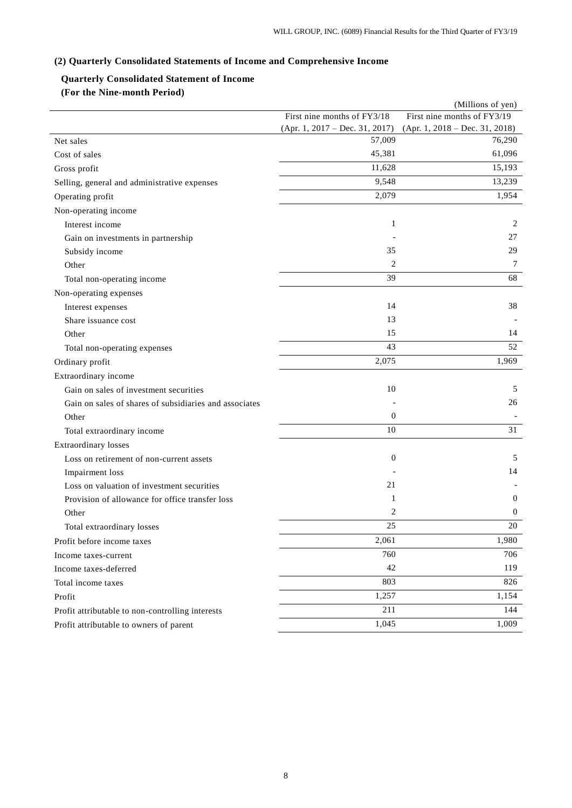# **(2) Quarterly Consolidated Statements of Income and Comprehensive Income**

# **Quarterly Consolidated Statement of Income**

**(For the Nine-month Period)**

|                                                        |                                | (Millions of yen)                |
|--------------------------------------------------------|--------------------------------|----------------------------------|
|                                                        | First nine months of FY3/18    | First nine months of FY3/19      |
|                                                        | (Apr. 1, 2017 – Dec. 31, 2017) | $(Apr. 1, 2018 - Dec. 31, 2018)$ |
| Net sales                                              | 57,009                         | 76,290                           |
| Cost of sales                                          | 45,381                         | 61,096                           |
| Gross profit                                           | 11,628                         | 15,193                           |
| Selling, general and administrative expenses           | 9,548                          | 13,239                           |
| Operating profit                                       | 2,079                          | 1,954                            |
| Non-operating income                                   |                                |                                  |
| Interest income                                        | 1                              | 2                                |
| Gain on investments in partnership                     |                                | 27                               |
| Subsidy income                                         | 35                             | 29                               |
| Other                                                  | 2                              | 7                                |
| Total non-operating income                             | 39                             | 68                               |
| Non-operating expenses                                 |                                |                                  |
| Interest expenses                                      | 14                             | 38                               |
| Share issuance cost                                    | 13                             |                                  |
| Other                                                  | 15                             | 14                               |
| Total non-operating expenses                           | 43                             | 52                               |
| Ordinary profit                                        | 2,075                          | 1,969                            |
| Extraordinary income                                   |                                |                                  |
| Gain on sales of investment securities                 | 10                             | 5                                |
| Gain on sales of shares of subsidiaries and associates |                                | 26                               |
| Other                                                  | $\boldsymbol{0}$               |                                  |
| Total extraordinary income                             | 10                             | 31                               |
| <b>Extraordinary losses</b>                            |                                |                                  |
| Loss on retirement of non-current assets               | $\boldsymbol{0}$               | 5                                |
| Impairment loss                                        |                                | 14                               |
| Loss on valuation of investment securities             | 21                             |                                  |
| Provision of allowance for office transfer loss        | 1                              | $\mathbf{0}$                     |
| Other                                                  | 2                              | $\mathbf{0}$                     |
| Total extraordinary losses                             | 25                             | 20                               |
| Profit before income taxes                             | 2,061                          | 1,980                            |
| Income taxes-current                                   | 760                            | 706                              |
| Income taxes-deferred                                  | 42                             | 119                              |
| Total income taxes                                     | 803                            | 826                              |
| Profit                                                 | 1,257                          | 1,154                            |
| Profit attributable to non-controlling interests       | 211                            | 144                              |
| Profit attributable to owners of parent                | 1,045                          | 1,009                            |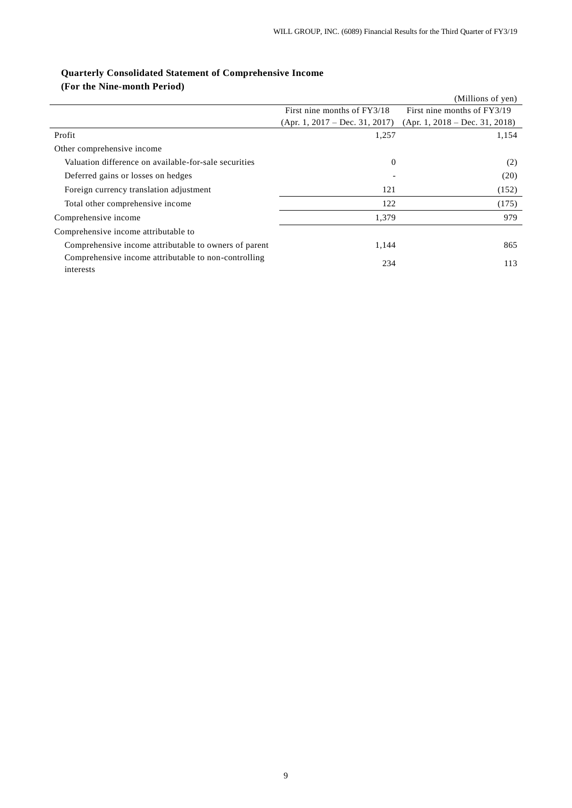|                                                                   |                                  | (Millions of yen)                |
|-------------------------------------------------------------------|----------------------------------|----------------------------------|
|                                                                   | First nine months of FY3/18      | First nine months of FY3/19      |
|                                                                   | $(Apr. 1, 2017 - Dec. 31, 2017)$ | $(Apr. 1, 2018 - Dec. 31, 2018)$ |
| Profit                                                            | 1,257                            | 1,154                            |
| Other comprehensive income                                        |                                  |                                  |
| Valuation difference on available-for-sale securities             | $\theta$                         | (2)                              |
| Deferred gains or losses on hedges                                | $\qquad \qquad$                  | (20)                             |
| Foreign currency translation adjustment                           | 121                              | (152)                            |
| Total other comprehensive income                                  | 122                              | (175)                            |
| Comprehensive income                                              | 1,379                            | 979                              |
| Comprehensive income attributable to                              |                                  |                                  |
| Comprehensive income attributable to owners of parent             | 1,144                            | 865                              |
| Comprehensive income attributable to non-controlling<br>interests | 234                              | 113                              |

# **Quarterly Consolidated Statement of Comprehensive Income (For the Nine-month Period)**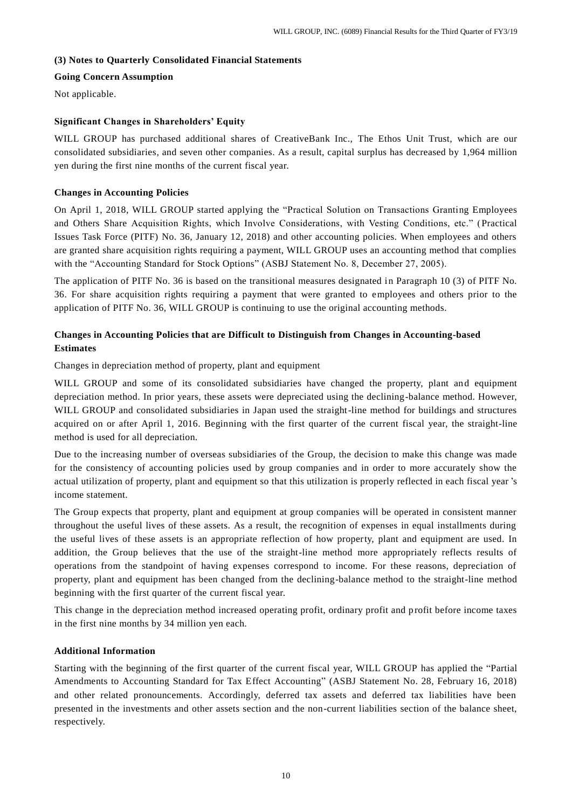# **(3) Notes to Quarterly Consolidated Financial Statements**

### **Going Concern Assumption**

Not applicable.

# **Significant Changes in Shareholders' Equity**

WILL GROUP has purchased additional shares of CreativeBank Inc., The Ethos Unit Trust, which are our consolidated subsidiaries, and seven other companies. As a result, capital surplus has decreased by 1,964 million yen during the first nine months of the current fiscal year.

# **Changes in Accounting Policies**

On April 1, 2018, WILL GROUP started applying the "Practical Solution on Transactions Granting Employees and Others Share Acquisition Rights, which Involve Considerations, with Vesting Conditions, etc." (Practical Issues Task Force (PITF) No. 36, January 12, 2018) and other accounting policies. When employees and others are granted share acquisition rights requiring a payment, WILL GROUP uses an accounting method that complies with the "Accounting Standard for Stock Options" (ASBJ Statement No. 8, December 27, 2005).

The application of PITF No. 36 is based on the transitional measures designated in Paragraph 10 (3) of PITF No. 36. For share acquisition rights requiring a payment that were granted to employees and others prior to the application of PITF No. 36, WILL GROUP is continuing to use the original accounting methods.

# **Changes in Accounting Policies that are Difficult to Distinguish from Changes in Accounting-based Estimates**

Changes in depreciation method of property, plant and equipment

WILL GROUP and some of its consolidated subsidiaries have changed the property, plant and equipment depreciation method. In prior years, these assets were depreciated using the declining-balance method. However, WILL GROUP and consolidated subsidiaries in Japan used the straight-line method for buildings and structures acquired on or after April 1, 2016. Beginning with the first quarter of the current fiscal year, the straight-line method is used for all depreciation.

Due to the increasing number of overseas subsidiaries of the Group, the decision to make this change was made for the consistency of accounting policies used by group companies and in order to more accurately show the actual utilization of property, plant and equipment so that this utilization is properly reflected in each fiscal year 's income statement.

The Group expects that property, plant and equipment at group companies will be operated in consistent manner throughout the useful lives of these assets. As a result, the recognition of expenses in equal installments during the useful lives of these assets is an appropriate reflection of how property, plant and equipment are used. In addition, the Group believes that the use of the straight-line method more appropriately reflects results of operations from the standpoint of having expenses correspond to income. For these reasons, depreciation of property, plant and equipment has been changed from the declining-balance method to the straight-line method beginning with the first quarter of the current fiscal year.

This change in the depreciation method increased operating profit, ordinary profit and profit before income taxes in the first nine months by 34 million yen each.

# **Additional Information**

Starting with the beginning of the first quarter of the current fiscal year, WILL GROUP has applied the "Partial Amendments to Accounting Standard for Tax Effect Accounting" (ASBJ Statement No. 28, February 16, 2018) and other related pronouncements. Accordingly, deferred tax assets and deferred tax liabilities have been presented in the investments and other assets section and the non-current liabilities section of the balance sheet, respectively.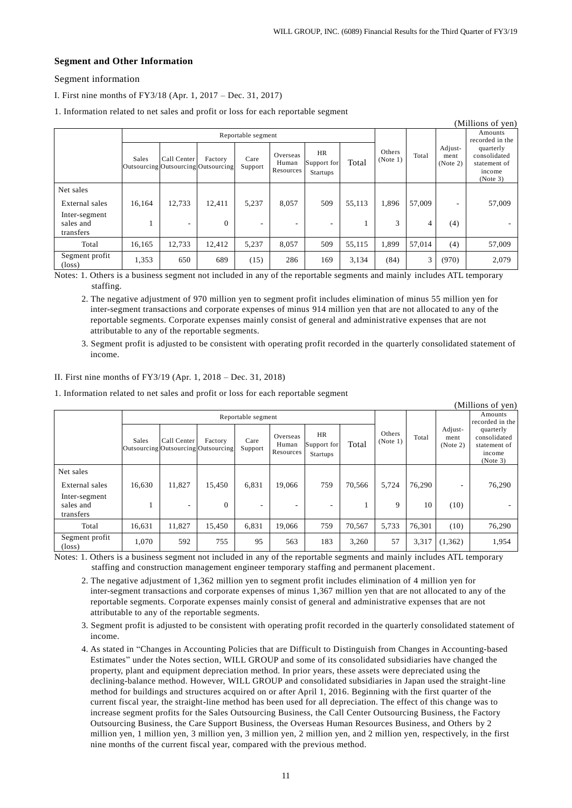# **Segment and Other Information**

# Segment information

I. First nine months of FY3/18 (Apr. 1, 2017 – Dec. 31, 2017)

1. Information related to net sales and profit or loss for each reportable segment

|                                         |                    |                                                    |              |                 | л.                             | ັ                                    |        |                    |        |                             |                                                                 |
|-----------------------------------------|--------------------|----------------------------------------------------|--------------|-----------------|--------------------------------|--------------------------------------|--------|--------------------|--------|-----------------------------|-----------------------------------------------------------------|
|                                         |                    |                                                    |              |                 |                                |                                      |        |                    |        |                             | (Millions of yen)                                               |
|                                         | Reportable segment |                                                    |              |                 |                                |                                      |        |                    |        | Amounts<br>recorded in the  |                                                                 |
|                                         | Sales              | Call Center<br>Outsourcing Outsourcing Outsourcing | Factory      | Care<br>Support | Overseas<br>Human<br>Resources | HR<br>Support for<br><b>Startups</b> | Total  | Others<br>(Note 1) | Total  | Adjust-<br>ment<br>(Note 2) | quarterly<br>consolidated<br>statement of<br>income<br>(Note 3) |
| Net sales                               |                    |                                                    |              |                 |                                |                                      |        |                    |        |                             |                                                                 |
| External sales                          | 16,164             | 12.733                                             | 12,411       | 5,237           | 8,057                          | 509                                  | 55,113 | 1,896              | 57,009 | ٠                           | 57,009                                                          |
| Inter-segment<br>sales and<br>transfers |                    | ٠                                                  | $\mathbf{0}$ | ٠               |                                | ۰                                    |        | 3                  | 4      | (4)                         |                                                                 |
| Total                                   | 16,165             | 12,733                                             | 12,412       | 5,237           | 8,057                          | 509                                  | 55,115 | 1,899              | 57.014 | (4)                         | 57,009                                                          |
| Segment profit<br>$(\text{loss})$       | 1,353              | 650                                                | 689          | (15)            | 286                            | 169                                  | 3,134  | (84)               | 3      | (970)                       | 2,079                                                           |

Notes: 1. Others is a business segment not included in any of the reportable segments and mainly includes ATL temporary staffing.

2. The negative adjustment of 970 million yen to segment profit includes elimination of minus 55 million yen for inter-segment transactions and corporate expenses of minus 914 million yen that are not allocated to any of the reportable segments. Corporate expenses mainly consist of general and administrative expenses that are not attributable to any of the reportable segments.

3. Segment profit is adjusted to be consistent with operating profit recorded in the quarterly consolidated statement of income.

#### II. First nine months of FY3/19 (Apr. 1, 2018 – Dec. 31, 2018)

1. Information related to net sales and profit or loss for each reportable segment

|                                         |                    |             |                                                |                          |                                |                                      |        |                    |        |                             | (Millions of yen)                                               |
|-----------------------------------------|--------------------|-------------|------------------------------------------------|--------------------------|--------------------------------|--------------------------------------|--------|--------------------|--------|-----------------------------|-----------------------------------------------------------------|
|                                         | Reportable segment |             |                                                |                          |                                |                                      |        |                    |        | Amounts<br>recorded in the  |                                                                 |
|                                         | Sales              | Call Center | Factory<br>Outsourcing Outsourcing Outsourcing | Care<br>Support          | Overseas<br>Human<br>Resources | <b>HR</b><br>Support for<br>Startups | Total  | Others<br>(Note 1) | Total  | Adjust-<br>ment<br>(Note 2) | quarterly<br>consolidated<br>statement of<br>income<br>(Note 3) |
| Net sales                               |                    |             |                                                |                          |                                |                                      |        |                    |        |                             |                                                                 |
| External sales                          | 16,630             | 11.827      | 15.450                                         | 6,831                    | 19.066                         | 759                                  | 70,566 | 5.724              | 76.290 | ٠                           | 76,290                                                          |
| Inter-segment<br>sales and<br>transfers |                    | ۰           | $\mathbf{0}$                                   | $\overline{\phantom{a}}$ | ۰                              |                                      |        | 9                  | 10     | (10)                        |                                                                 |
| Total                                   | 16,631             | 11,827      | 15,450                                         | 6,831                    | 19,066                         | 759                                  | 70,567 | 5,733              | 76,301 | (10)                        | 76,290                                                          |
| Segment profit<br>$(\text{loss})$       | 1,070              | 592         | 755                                            | 95                       | 563                            | 183                                  | 3,260  | 57                 | 3,317  | (1,362)                     | 1,954                                                           |

Notes: 1. Others is a business segment not included in any of the reportable segments and mainly includes ATL temporary staffing and construction management engineer temporary staffing and permanent placement.

2. The negative adjustment of 1,362 million yen to segment profit includes elimination of 4 million yen for inter-segment transactions and corporate expenses of minus 1,367 million yen that are not allocated to any of the reportable segments. Corporate expenses mainly consist of general and administrative expenses that are not attributable to any of the reportable segments.

3. Segment profit is adjusted to be consistent with operating profit recorded in the quarterly consolidated statement of income.

4. As stated in "Changes in Accounting Policies that are Difficult to Distinguish from Changes in Accounting-based Estimates" under the Notes section, WILL GROUP and some of its consolidated subsidiaries have changed the property, plant and equipment depreciation method. In prior years, these assets were depreciated using the declining-balance method. However, WILL GROUP and consolidated subsidiaries in Japan used the straight-line method for buildings and structures acquired on or after April 1, 2016. Beginning with the first quarter of the current fiscal year, the straight-line method has been used for all depreciation. The effect of this change was to increase segment profits for the Sales Outsourcing Business, the Call Center Outsourcing Business, the Factory Outsourcing Business, the Care Support Business, the Overseas Human Resources Business, and Others by 2 million yen, 1 million yen, 3 million yen, 3 million yen, 2 million yen, and 2 million yen, respectively, in the first nine months of the current fiscal year, compared with the previous method.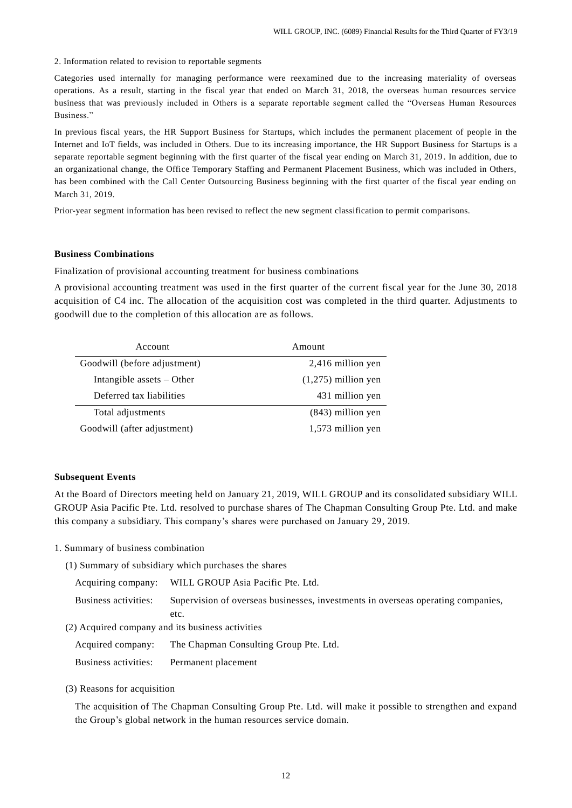2. Information related to revision to reportable segments

Categories used internally for managing performance were reexamined due to the increasing materiality of overseas operations. As a result, starting in the fiscal year that ended on March 31, 2018, the overseas human resources service business that was previously included in Others is a separate reportable segment called the "Overseas Human Resources Business."

In previous fiscal years, the HR Support Business for Startups, which includes the permanent placement of people in the Internet and IoT fields, was included in Others. Due to its increasing importance, the HR Support Business for Startups is a separate reportable segment beginning with the first quarter of the fiscal year ending on March 31, 2019 . In addition, due to an organizational change, the Office Temporary Staffing and Permanent Placement Business, which was included in Others, has been combined with the Call Center Outsourcing Business beginning with the first quarter of the fiscal year ending on March 31, 2019.

Prior-year segment information has been revised to reflect the new segment classification to permit comparisons.

# **Business Combinations**

Finalization of provisional accounting treatment for business combinations

A provisional accounting treatment was used in the first quarter of the current fiscal year for the June 30, 2018 acquisition of C4 inc. The allocation of the acquisition cost was completed in the third quarter. Adjustments to goodwill due to the completion of this allocation are as follows.

| Account                      | Amount                |
|------------------------------|-----------------------|
| Goodwill (before adjustment) | 2,416 million yen     |
| Intangible assets $-$ Other  | $(1,275)$ million yen |
| Deferred tax liabilities     | 431 million yen       |
| Total adjustments            | $(843)$ million yen   |
| Goodwill (after adjustment)  | 1,573 million yen     |

# **Subsequent Events**

At the Board of Directors meeting held on January 21, 2019, WILL GROUP and its consolidated subsidiary WILL GROUP Asia Pacific Pte. Ltd. resolved to purchase shares of The Chapman Consulting Group Pte. Ltd. and make this company a subsidiary. This company's shares were purchased on January 29, 2019.

1. Summary of business combination

(1) Summary of subsidiary which purchases the shares

| Acquiring company:   | WILL GROUP Asia Pacific Pte. Ltd.                                                |
|----------------------|----------------------------------------------------------------------------------|
| Business activities: | Supervision of overseas businesses, investments in overseas operating companies, |
|                      | etc.                                                                             |
|                      | (2) Acquired company and its business activities                                 |

Acquired company: The Chapman Consulting Group Pte. Ltd. Business activities: Permanent placement

(3) Reasons for acquisition

The acquisition of The Chapman Consulting Group Pte. Ltd. will make it possible to strengthen and expand the Group's global network in the human resources service domain.